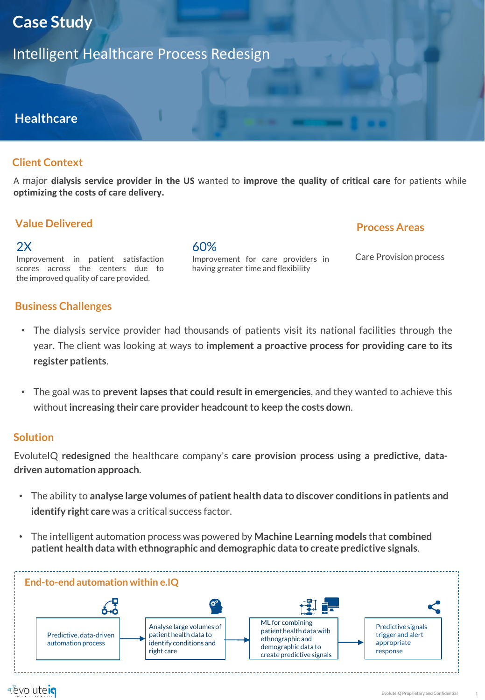# **Case Study**

Intelligent Healthcare Process Redesign

# **Healthcare**

## **Client Context**

A major **dialysis service provider in the US** wanted to **improve the quality of critical care** for patients while **optimizing the costs of care delivery.**

## **Value Delivered**

 $2X$ 

#### 60%

## **Process Areas**

Improvement in patient satisfaction scores across the centers due to the improved quality of care provided.

Improvement for care providers in having greater time and flexibility

Care Provision process

### **Business Challenges**

- The dialysis service provider had thousands of patients visit its national facilities through the year. The client was looking at ways to **implement a proactive process for providing care to its register patients**.
- The goal was to **prevent lapses that could result in emergencies**, and they wanted to achieve this without **increasing their care provider headcountto keep the costs down**.

### **Solution**

EvoluteIQ **redesigned** the healthcare company's **care provision process using a predictive, datadriven automation approach**.

- The ability to **analyse large volumes of patient health data to discover conditions in patients and identify right care** was a critical success factor.
- The intelligent automation process was powered by **Machine Learning models** that **combined patient health data with ethnographic and demographic data to create predictive signals**.

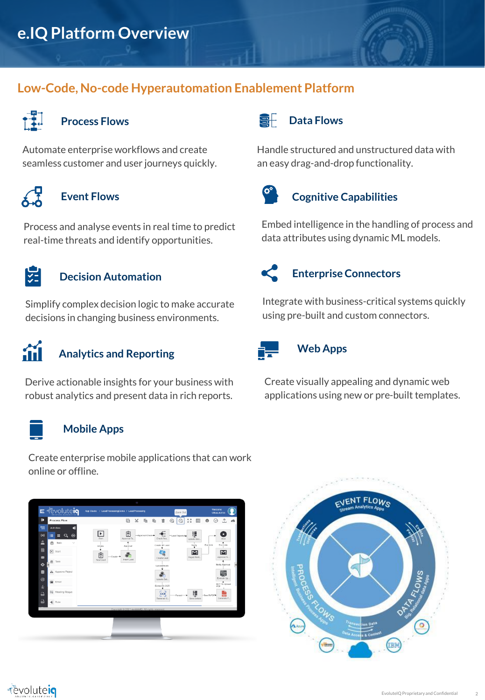# **Low-Code, No-code Hyperautomation Enablement Platform**



# **Process Flows**

Automate enterprise workflows and create seamless customer and user journeys quickly.



# **Event Flows**

Process and analyse events in real time to predict real-time threats and identify opportunities.



## **Decision Automation**

Simplify complex decision logic to make accurate decisions in changing business environments.



# **Analytics and Reporting**

Derive actionable insights for your business with robust analytics and present data in rich reports.



#### **Mobile Apps**

Create enterprise mobile applications that can work online or offline.







#### SF **Data Flows**

Handle structured and unstructured data with an easy drag-and-drop functionality.



# **Cognitive Capabilities**

Embed intelligence in the handling of process and data attributes using dynamic ML models.



# **Enterprise Connectors**

Integrate with business-critical systems quickly using pre-built and custom connectors.



### **Web Apps**

Create visually appealing and dynamic web applications using new or pre-built templates.

2